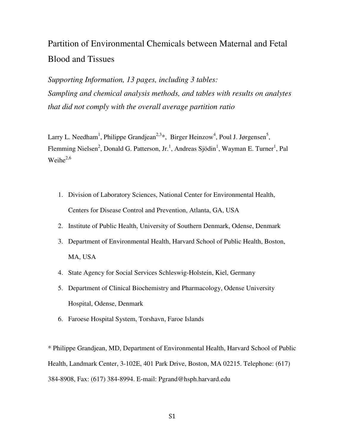## Partition of Environmental Chemicals between Maternal and Fetal Blood and Tissues

*Supporting Information, 13 pages, including 3 tables: Sampling and chemical analysis methods, and tables with results on analytes that did not comply with the overall average partition ratio* 

Larry L. Needham<sup>1</sup>, Philippe Grandjean<sup>2,3</sup>\*, Birger Heinzow<sup>4</sup>, Poul J. Jørgensen<sup>5</sup>, Flemming Nielsen<sup>2</sup>, Donald G. Patterson, Jr.<sup>1</sup>, Andreas Sjödin<sup>1</sup>, Wayman E. Turner<sup>1</sup>, Pal Weihe $^{2,6}$ 

- 1. Division of Laboratory Sciences, National Center for Environmental Health, Centers for Disease Control and Prevention, Atlanta, GA, USA
- 2. Institute of Public Health, University of Southern Denmark, Odense, Denmark
- 3. Department of Environmental Health, Harvard School of Public Health, Boston, MA, USA
- 4. State Agency for Social Services Schleswig-Holstein, Kiel, Germany
- 5. Department of Clinical Biochemistry and Pharmacology, Odense University Hospital, Odense, Denmark
- 6. Faroese Hospital System, Torshavn, Faroe Islands

\* Philippe Grandjean, MD, Department of Environmental Health, Harvard School of Public Health, Landmark Center, 3-102E, 401 Park Drive, Boston, MA 02215. Telephone: (617) 384-8908, Fax: (617) 384-8994. E-mail: Pgrand@hsph.harvard.edu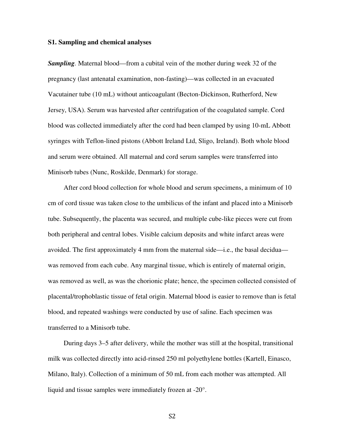## **S1. Sampling and chemical analyses**

*Sampling.* Maternal blood—from a cubital vein of the mother during week 32 of the pregnancy (last antenatal examination, non-fasting)—was collected in an evacuated Vacutainer tube (10 mL) without anticoagulant (Becton-Dickinson, Rutherford, New Jersey, USA). Serum was harvested after centrifugation of the coagulated sample. Cord blood was collected immediately after the cord had been clamped by using 10-mL Abbott syringes with Teflon-lined pistons (Abbott Ireland Ltd, Sligo, Ireland). Both whole blood and serum were obtained. All maternal and cord serum samples were transferred into Minisorb tubes (Nunc, Roskilde, Denmark) for storage.

 After cord blood collection for whole blood and serum specimens, a minimum of 10 cm of cord tissue was taken close to the umbilicus of the infant and placed into a Minisorb tube. Subsequently, the placenta was secured, and multiple cube-like pieces were cut from both peripheral and central lobes. Visible calcium deposits and white infarct areas were avoided. The first approximately 4 mm from the maternal side—i.e., the basal decidua was removed from each cube. Any marginal tissue, which is entirely of maternal origin, was removed as well, as was the chorionic plate; hence, the specimen collected consisted of placental/trophoblastic tissue of fetal origin. Maternal blood is easier to remove than is fetal blood, and repeated washings were conducted by use of saline. Each specimen was transferred to a Minisorb tube.

 During days 3–5 after delivery, while the mother was still at the hospital, transitional milk was collected directly into acid-rinsed 250 ml polyethylene bottles (Kartell, Einasco, Milano, Italy). Collection of a minimum of 50 mL from each mother was attempted. All liquid and tissue samples were immediately frozen at -20°.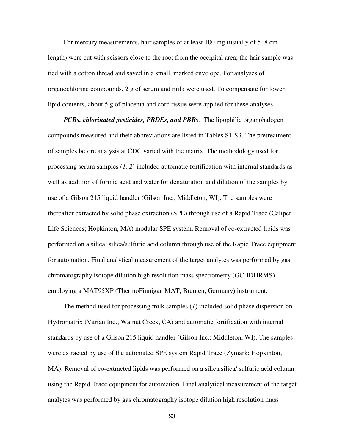For mercury measurements, hair samples of at least 100 mg (usually of 5–8 cm length) were cut with scissors close to the root from the occipital area; the hair sample was tied with a cotton thread and saved in a small, marked envelope. For analyses of organochlorine compounds, 2 g of serum and milk were used. To compensate for lower lipid contents, about 5 g of placenta and cord tissue were applied for these analyses.

*PCBs, chlorinated pesticides, PBDEs, and PBBs.* The lipophilic organohalogen compounds measured and their abbreviations are listed in Tables S1-S3. The pretreatment of samples before analysis at CDC varied with the matrix. The methodology used for processing serum samples (*1, 2*) included automatic fortification with internal standards as well as addition of formic acid and water for denaturation and dilution of the samples by use of a Gilson 215 liquid handler (Gilson Inc.; Middleton, WI). The samples were thereafter extracted by solid phase extraction (SPE) through use of a Rapid Trace (Caliper Life Sciences; Hopkinton, MA) modular SPE system. Removal of co-extracted lipids was performed on a silica: silica/sulfuric acid column through use of the Rapid Trace equipment for automation. Final analytical measurement of the target analytes was performed by gas chromatography isotope dilution high resolution mass spectrometry (GC-IDHRMS) employing a MAT95XP (ThermoFinnigan MAT, Bremen, Germany) instrument.

 The method used for processing milk samples (*1*) included solid phase dispersion on Hydromatrix (Varian Inc.; Walnut Creek, CA) and automatic fortification with internal standards by use of a Gilson 215 liquid handler (Gilson Inc.; Middleton, WI). The samples were extracted by use of the automated SPE system Rapid Trace (Zymark; Hopkinton, MA). Removal of co-extracted lipids was performed on a silica:silica/ sulfuric acid column using the Rapid Trace equipment for automation. Final analytical measurement of the target analytes was performed by gas chromatography isotope dilution high resolution mass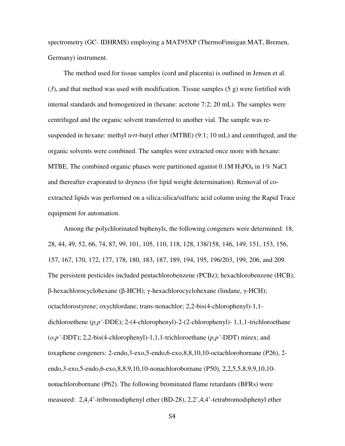spectrometry (GC- IDHRMS) employing a MAT95XP (ThermoFinnigan MAT, Bremen, Germany) instrument.

 The method used for tissue samples (cord and placenta) is outlined in Jensen et al. (*3*), and that method was used with modification. Tissue samples (5 g) were fortified with internal standards and homogenized in (hexane: acetone 7:2; 20 mL). The samples were centrifuged and the organic solvent transferred to another vial. The sample was resuspended in hexane: methyl *tert*-butyl ether (MTBE) (9:1; 10 mL) and centrifuged, and the organic solvents were combined. The samples were extracted once more with hexane: MTBE. The combined organic phases were partitioned against  $0.1M H_3PO_4$  in 1% NaCl and thereafter evaporated to dryness (for lipid weight determination). Removal of coextracted lipids was performed on a silica:silica/sulfuric acid column using the Rapid Trace equipment for automation.

 Among the polychlorinated biphenyls, the following congeners were determined: 18, 28, 44, 49, 52, 66, 74, 87, 99, 101, 105, 110, 118, 128, 138/158, 146, 149, 151, 153, 156, 157, 167, 170, 172, 177, 178, 180, 183, 187, 189, 194, 195, 196/203, 199, 206, and 209. The persistent pesticides included pentachlorobenzene (PCBz); hexachlorobenzene (HCB); β-hexachlorocyclohexane (β-HCH); γ-hexachlorocyclohexane (lindane, γ-HCH); octachlorostyrene; oxychlordane; trans-nonachlor; 2,2-bis(4-chlorophenyl)-1,1 dichloroethene (*p,p'*-DDE); 2-(4-chlorophenyl)-2-(2-chlorophenyl)- 1,1,1-trichloroethane (*o,p'*-DDT); 2,2-bis(4-chlorophenyl)-1,1,1-trichloroethane (*p,p'*-DDT) mirex; and toxaphene congeners: 2-endo,3-exo,5-endo,6-exo,8,8,10,10-octachlorobornane (P26), 2 endo,3-exo,5-endo,6-exo,8,8,9,10,10-nonachlorobornane (P50), 2,2,5,5,8,9,9,10,10 nonachlorobornane (P62). The following brominated flame retardants (BFRs) were measured: 2,4,4'-tribromodiphenyl ether (BD-28), 2,2',4,4'-tetrabromodiphenyl ether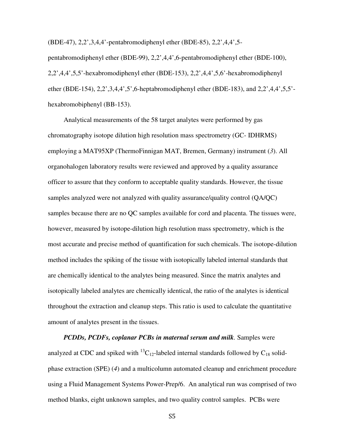(BDE-47), 2,2',3,4,4'-pentabromodiphenyl ether (BDE-85), 2,2',4,4',5-

pentabromodiphenyl ether (BDE-99), 2,2',4,4',6-pentabromodiphenyl ether (BDE-100), 2,2',4,4',5,5'-hexabromodiphenyl ether (BDE-153), 2,2',4,4',5,6'-hexabromodiphenyl ether (BDE-154), 2,2',3,4,4',5',6-heptabromodiphenyl ether (BDE-183), and 2,2',4,4',5,5' hexabromobiphenyl (BB-153).

 Analytical measurements of the 58 target analytes were performed by gas chromatography isotope dilution high resolution mass spectrometry (GC- IDHRMS) employing a MAT95XP (ThermoFinnigan MAT, Bremen, Germany) instrument (*3*). All organohalogen laboratory results were reviewed and approved by a quality assurance officer to assure that they conform to acceptable quality standards. However, the tissue samples analyzed were not analyzed with quality assurance/quality control (QA/QC) samples because there are no QC samples available for cord and placenta. The tissues were, however, measured by isotope-dilution high resolution mass spectrometry, which is the most accurate and precise method of quantification for such chemicals. The isotope-dilution method includes the spiking of the tissue with isotopically labeled internal standards that are chemically identical to the analytes being measured. Since the matrix analytes and isotopically labeled analytes are chemically identical, the ratio of the analytes is identical throughout the extraction and cleanup steps. This ratio is used to calculate the quantitative amount of analytes present in the tissues.

*PCDDs, PCDFs, coplanar PCBs in maternal serum and milk.* Samples were analyzed at CDC and spiked with  ${}^{13}C_{12}$ -labeled internal standards followed by  $C_{18}$  solidphase extraction (SPE) (*4*) and a multicolumn automated cleanup and enrichment procedure using a Fluid Management Systems Power-Prep/6. An analytical run was comprised of two method blanks, eight unknown samples, and two quality control samples. PCBs were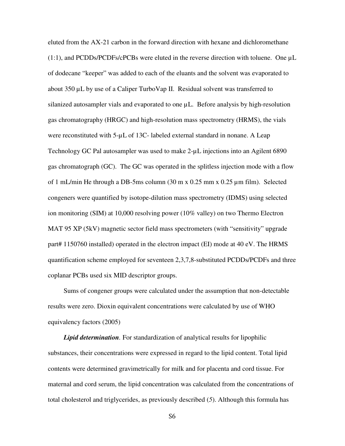eluted from the AX-21 carbon in the forward direction with hexane and dichloromethane  $(1:1)$ , and PCDDs/PCDFs/cPCBs were eluted in the reverse direction with toluene. One  $\mu$ L of dodecane "keeper" was added to each of the eluants and the solvent was evaporated to about 350 µL by use of a Caliper TurboVap II. Residual solvent was transferred to silanized autosampler vials and evaporated to one  $\mu$ L. Before analysis by high-resolution gas chromatography (HRGC) and high-resolution mass spectrometry (HRMS), the vials were reconstituted with  $5-\mu L$  of 13C- labeled external standard in nonane. A Leap Technology GC Pal autosampler was used to make 2-µL injections into an Agilent 6890 gas chromatograph (GC). The GC was operated in the splitless injection mode with a flow of 1 mL/min He through a DB-5ms column (30 m x 0.25 mm x 0.25 µm film). Selected congeners were quantified by isotope-dilution mass spectrometry (IDMS) using selected ion monitoring (SIM) at 10,000 resolving power (10% valley) on two Thermo Electron MAT 95 XP (5kV) magnetic sector field mass spectrometers (with "sensitivity" upgrade part# 1150760 installed) operated in the electron impact (EI) mode at 40 eV. The HRMS quantification scheme employed for seventeen 2,3,7,8-substituted PCDDs/PCDFs and three coplanar PCBs used six MID descriptor groups.

 Sums of congener groups were calculated under the assumption that non-detectable results were zero. Dioxin equivalent concentrations were calculated by use of WHO equivalency factors (2005)

*Lipid determination.* For standardization of analytical results for lipophilic substances, their concentrations were expressed in regard to the lipid content. Total lipid contents were determined gravimetrically for milk and for placenta and cord tissue. For maternal and cord serum, the lipid concentration was calculated from the concentrations of total cholesterol and triglycerides, as previously described (*5*). Although this formula has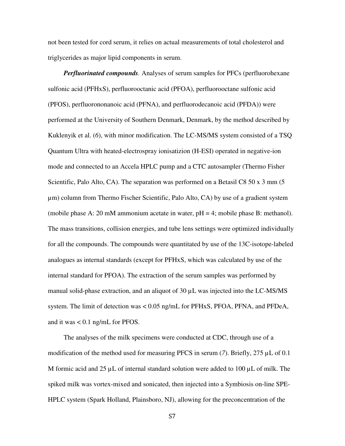not been tested for cord serum, it relies on actual measurements of total cholesterol and triglycerides as major lipid components in serum.

*Perfluorinated compounds.* Analyses of serum samples for PFCs (perfluorohexane sulfonic acid (PFHxS), perfluorooctanic acid (PFOA), perfluorooctane sulfonic acid (PFOS), perfluorononanoic acid (PFNA), and perfluorodecanoic acid (PFDA)) were performed at the University of Southern Denmark, Denmark, by the method described by Kuklenyik et al. (*6*), with minor modification. The LC-MS/MS system consisted of a TSQ Quantum Ultra with heated-electrospray ionisatizion (H-ESI) operated in negative-ion mode and connected to an Accela HPLC pump and a CTC autosampler (Thermo Fisher Scientific, Palo Alto, CA). The separation was performed on a Betasil C8 50 x 3 mm (5 µm) column from Thermo Fischer Scientific, Palo Alto, CA) by use of a gradient system (mobile phase A: 20 mM ammonium acetate in water, pH = 4; mobile phase B: methanol). The mass transitions, collision energies, and tube lens settings were optimized individually for all the compounds. The compounds were quantitated by use of the 13C-isotope-labeled analogues as internal standards (except for PFHxS, which was calculated by use of the internal standard for PFOA). The extraction of the serum samples was performed by manual solid-phase extraction, and an aliquot of 30 µL was injected into the LC-MS/MS system. The limit of detection was < 0.05 ng/mL for PFHxS, PFOA, PFNA, and PFDeA, and it was < 0.1 ng/mL for PFOS.

 The analyses of the milk specimens were conducted at CDC, through use of a modification of the method used for measuring PFCS in serum (7). Briefly, 275  $\mu$ L of 0.1 M formic acid and  $25 \mu L$  of internal standard solution were added to 100  $\mu L$  of milk. The spiked milk was vortex-mixed and sonicated, then injected into a Symbiosis on-line SPE-HPLC system (Spark Holland, Plainsboro, NJ), allowing for the preconcentration of the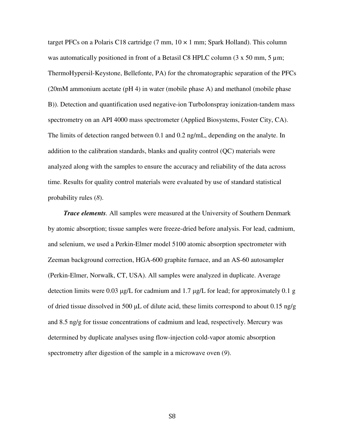target PFCs on a Polaris C18 cartridge (7 mm,  $10 \times 1$  mm; Spark Holland). This column was automatically positioned in front of a Betasil C8 HPLC column  $(3 \times 50 \text{ mm}, 5 \text{ mm})$ ; ThermoHypersil-Keystone, Bellefonte, PA) for the chromatographic separation of the PFCs (20mM ammonium acetate (pH 4) in water (mobile phase A) and methanol (mobile phase B)). Detection and quantification used negative-ion TurboIonspray ionization-tandem mass spectrometry on an API 4000 mass spectrometer (Applied Biosystems, Foster City, CA). The limits of detection ranged between 0.1 and 0.2 ng/mL, depending on the analyte. In addition to the calibration standards, blanks and quality control (QC) materials were analyzed along with the samples to ensure the accuracy and reliability of the data across time. Results for quality control materials were evaluated by use of standard statistical probability rules (*8*).

*Trace elements.* All samples were measured at the University of Southern Denmark by atomic absorption; tissue samples were freeze-dried before analysis. For lead, cadmium, and selenium, we used a Perkin-Elmer model 5100 atomic absorption spectrometer with Zeeman background correction, HGA-600 graphite furnace, and an AS-60 autosampler (Perkin-Elmer, Norwalk, CT, USA). All samples were analyzed in duplicate. Average detection limits were 0.03 µg/L for cadmium and 1.7 µg/L for lead; for approximately 0.1 g of dried tissue dissolved in 500  $\mu$ L of dilute acid, these limits correspond to about 0.15 ng/g and 8.5 ng/g for tissue concentrations of cadmium and lead, respectively. Mercury was determined by duplicate analyses using flow-injection cold-vapor atomic absorption spectrometry after digestion of the sample in a microwave oven (*9*).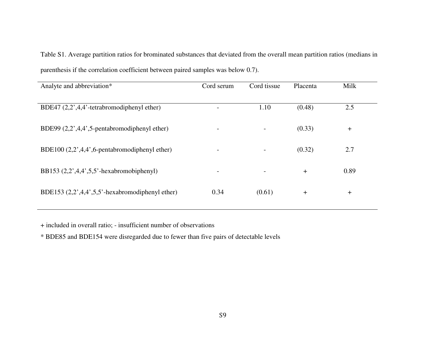| Cord serum                   | Cord tissue              | Placenta | Milk  |
|------------------------------|--------------------------|----------|-------|
|                              | 1.10                     | (0.48)   | 2.5   |
|                              |                          | (0.33)   | $\pm$ |
| $\overline{\phantom{a}}$     | $\overline{\phantom{a}}$ | (0.32)   | 2.7   |
| $\qquad \qquad \blacksquare$ |                          | $+$      | 0.89  |
| 0.34                         | (0.61)                   | $+$      | $\pm$ |
|                              |                          |          |       |

Table S1. Average partition ratios for brominated substances that deviated from the overall mean partition ratios (medians in parenthesis if the correlation coefficient between paired samples was below 0.7).

+ included in overall ratio; - insufficient number of observations

\* BDE85 and BDE154 were disregarded due to fewer than five pairs of detectable levels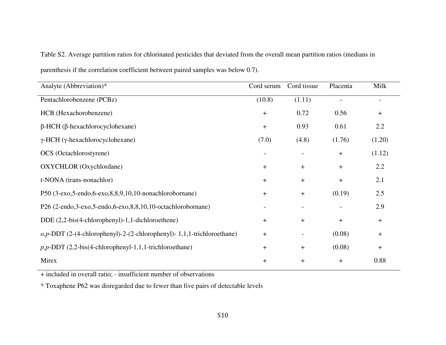| Analyte (Abbreviation)*                                                   | Cord serum       | Cord tissue      | Placenta         | Milk                             |
|---------------------------------------------------------------------------|------------------|------------------|------------------|----------------------------------|
| Pentachlorobenzene (PCBz)                                                 | (10.8)           | (1.11)           |                  | $\overline{\phantom{a}}$         |
| HCB (Hexachorobenzene)                                                    | $\boldsymbol{+}$ | 0.72             | 0.56             | $\boldsymbol{+}$                 |
| $\beta$ -HCH ( $\beta$ -hexachlorocyclohexane)                            | $\boldsymbol{+}$ | 0.93             | 0.61             | 2.2                              |
| $\gamma$ -HCH ( $\gamma$ -hexachlorocyclohexane)                          | (7.0)            | (4.8)            | (1.76)           | (1.20)                           |
| OCS (Octachlorostyrene)                                                   |                  |                  | $\boldsymbol{+}$ | (1.12)                           |
| OXYCHLOR (Oxychlordane)                                                   | $\boldsymbol{+}$ | $\pm$            | $\boldsymbol{+}$ | 2.2                              |
| t-NONA (trans-nonachlor)                                                  | $+$              | $\pm$            | $\boldsymbol{+}$ | 2.1                              |
| P50 (3-exo, 5-endo, 6-exo, 8, 8, 9, 10, 10-nonachlorobornane)             | $+$              | $\pm$            | (0.19)           | 2.5                              |
| P26 (2-endo,3-exo,5-endo,6-exo,8,8,10,10-octachlorobornane)               |                  |                  |                  | 2.9                              |
| DDE $(2,2-bis(4-chlorophenyl)-1,1-dichloroethene)$                        | $\ddot{}$        | $\ddot{}$        | $+$              | $\boldsymbol{+}$                 |
| $o, p$ -DDT (2-(4-chlorophenyl)-2-(2-chlorophenyl)-1,1,1-trichloroethane) | $+$              |                  | (0.08)           | $\boldsymbol{+}$                 |
| $p, p$ -DDT (2,2-bis(4-chlorophenyl-1,1,1-trichloroethane)                | $\boldsymbol{+}$ | $\ddag$          | (0.08)           | $\begin{array}{c} + \end{array}$ |
| Mirex                                                                     | $\pm$            | $\boldsymbol{+}$ | $\pm$            | 0.88                             |

Table S2. Average partition ratios for chlorinated pesticides that deviated from the overall mean partition ratios (medians in

parenthesis if the correlation coefficient between paired samples was below 0.7).

+ included in overall ratio; - insufficient number of observations

\* Toxaphene P62 was disregarded due to fewer than five pairs of detectable levels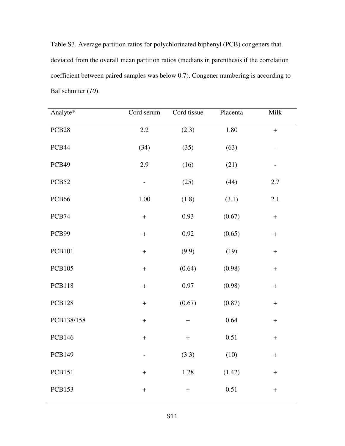Table S3. Average partition ratios for polychlorinated biphenyl (PCB) congeners that deviated from the overall mean partition ratios (medians in parenthesis if the correlation coefficient between paired samples was below 0.7). Congener numbering is according to Ballschmiter (*10*).

| Analyte*          | Cord serum                       | Cord tissue       | Placenta | Milk                             |
|-------------------|----------------------------------|-------------------|----------|----------------------------------|
| PCB <sub>28</sub> | 2.2                              | (2.3)             | 1.80     | $\ddot{}$                        |
| PCB44             | (34)                             | (35)              | (63)     | $\qquad \qquad \blacksquare$     |
| PCB49             | 2.9                              | (16)              | (21)     |                                  |
| PCB52             |                                  | (25)              | (44)     | $2.7\,$                          |
| PCB <sub>66</sub> | 1.00                             | (1.8)             | (3.1)    | 2.1                              |
| PCB74             | $\boldsymbol{+}$                 | 0.93              | (0.67)   | $\boldsymbol{+}$                 |
| PCB99             | $\ddot{}$                        | 0.92              | (0.65)   | $\boldsymbol{+}$                 |
| <b>PCB101</b>     | $\qquad \qquad +$                | (9.9)             | (19)     | $\boldsymbol{+}$                 |
| <b>PCB105</b>     | $\ddot{}$                        | (0.64)            | (0.98)   | $\begin{array}{c} + \end{array}$ |
| <b>PCB118</b>     | $\ddot{}$                        | 0.97              | (0.98)   | $\begin{array}{c} + \end{array}$ |
| <b>PCB128</b>     | $\ddag$                          | (0.67)            | (0.87)   | $\qquad \qquad +$                |
| PCB138/158        | $\qquad \qquad +$                | $\ddag$           | 0.64     | $\! + \!$                        |
| <b>PCB146</b>     | $\boldsymbol{+}$                 | $\qquad \qquad +$ | 0.51     | $\boldsymbol{+}$                 |
| <b>PCB149</b>     | $\overline{\phantom{0}}$         | (3.3)             | (10)     | $\boldsymbol{+}$                 |
| <b>PCB151</b>     | $\begin{array}{c} + \end{array}$ | 1.28              | (1.42)   | $\boldsymbol{+}$                 |
| <b>PCB153</b>     | $\begin{array}{c} + \end{array}$ | $\boldsymbol{+}$  | 0.51     | $\! + \!$                        |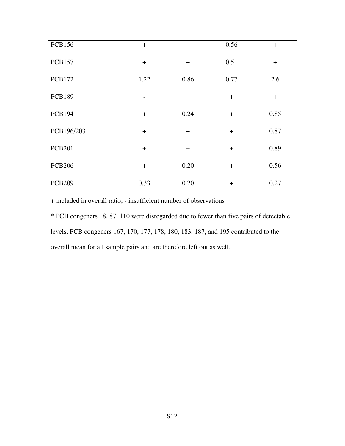| <b>PCB156</b> | $+$                      | $+$  | 0.56 | $+$  |
|---------------|--------------------------|------|------|------|
| <b>PCB157</b> | $+$                      | $+$  | 0.51 | $+$  |
| <b>PCB172</b> | 1.22                     | 0.86 | 0.77 | 2.6  |
| <b>PCB189</b> | $\overline{\phantom{a}}$ | $+$  | $+$  | $+$  |
| <b>PCB194</b> | $+$                      | 0.24 | $+$  | 0.85 |
| PCB196/203    | $+$                      | $+$  | $+$  | 0.87 |
| <b>PCB201</b> | $+$                      | $+$  | $+$  | 0.89 |
| <b>PCB206</b> | $+$                      | 0.20 | $+$  | 0.56 |
| <b>PCB209</b> | 0.33                     | 0.20 | $+$  | 0.27 |

+ included in overall ratio; - insufficient number of observations

\* PCB congeners 18, 87, 110 were disregarded due to fewer than five pairs of detectable levels. PCB congeners 167, 170, 177, 178, 180, 183, 187, and 195 contributed to the overall mean for all sample pairs and are therefore left out as well.